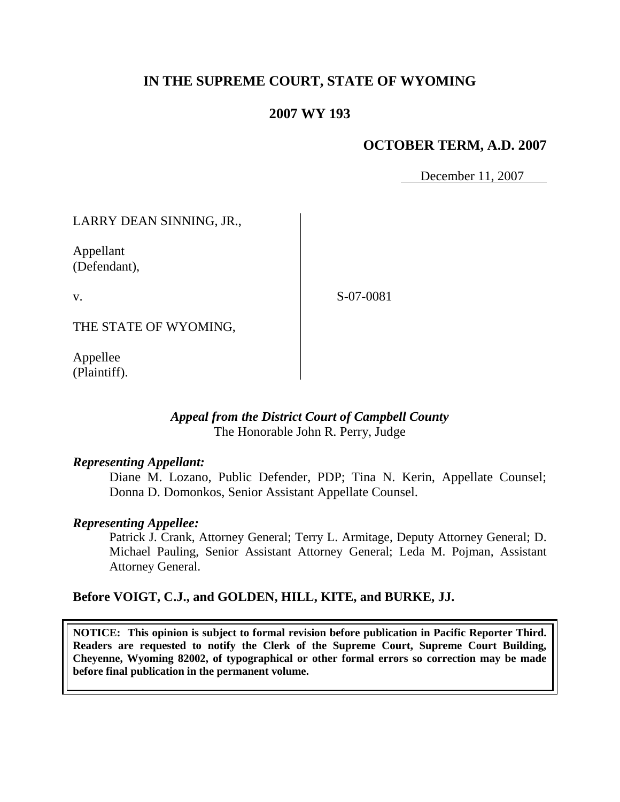# **IN THE SUPREME COURT, STATE OF WYOMING**

## **2007 WY 193**

## **OCTOBER TERM, A.D. 2007**

December 11, 2007

LARRY DEAN SINNING, JR.,

Appellant (Defendant),

v.

S-07-0081

THE STATE OF WYOMING,

Appellee (Plaintiff).

## *Appeal from the District Court of Campbell County* The Honorable John R. Perry, Judge

## *Representing Appellant:*

Diane M. Lozano, Public Defender, PDP; Tina N. Kerin, Appellate Counsel; Donna D. Domonkos, Senior Assistant Appellate Counsel.

## *Representing Appellee:*

Patrick J. Crank, Attorney General; Terry L. Armitage, Deputy Attorney General; D. Michael Pauling, Senior Assistant Attorney General; Leda M. Pojman, Assistant Attorney General.

## **Before VOIGT, C.J., and GOLDEN, HILL, KITE, and BURKE, JJ.**

**NOTICE: This opinion is subject to formal revision before publication in Pacific Reporter Third. Readers are requested to notify the Clerk of the Supreme Court, Supreme Court Building, Cheyenne, Wyoming 82002, of typographical or other formal errors so correction may be made before final publication in the permanent volume.**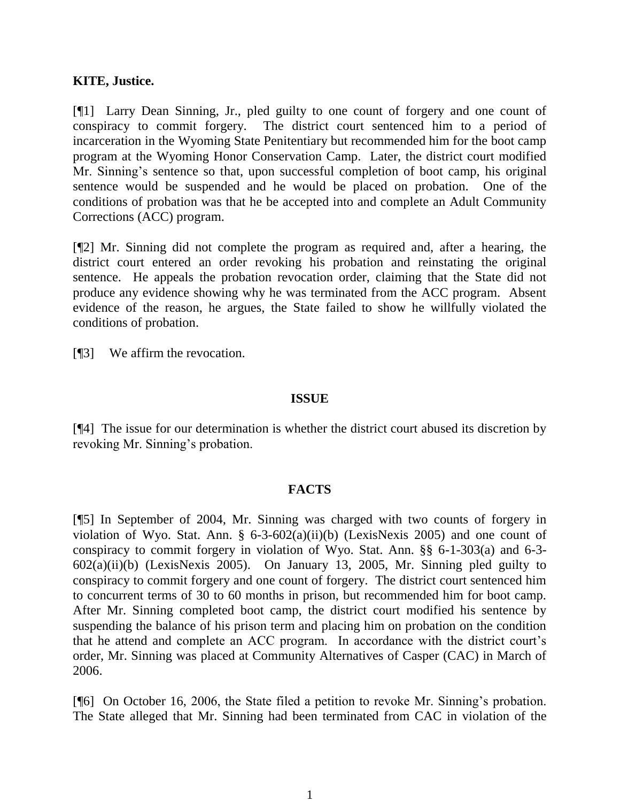#### **KITE, Justice.**

[¶1] Larry Dean Sinning, Jr., pled guilty to one count of forgery and one count of conspiracy to commit forgery. The district court sentenced him to a period of incarceration in the Wyoming State Penitentiary but recommended him for the boot camp program at the Wyoming Honor Conservation Camp. Later, the district court modified Mr. Sinning's sentence so that, upon successful completion of boot camp, his original sentence would be suspended and he would be placed on probation. One of the conditions of probation was that he be accepted into and complete an Adult Community Corrections (ACC) program.

[¶2] Mr. Sinning did not complete the program as required and, after a hearing, the district court entered an order revoking his probation and reinstating the original sentence. He appeals the probation revocation order, claiming that the State did not produce any evidence showing why he was terminated from the ACC program. Absent evidence of the reason, he argues, the State failed to show he willfully violated the conditions of probation.

[¶3] We affirm the revocation.

#### **ISSUE**

[¶4] The issue for our determination is whether the district court abused its discretion by revoking Mr. Sinning's probation.

## **FACTS**

[¶5] In September of 2004, Mr. Sinning was charged with two counts of forgery in violation of Wyo. Stat. Ann.  $\S$  6-3-602(a)(ii)(b) (LexisNexis 2005) and one count of conspiracy to commit forgery in violation of Wyo. Stat. Ann. §§ 6-1-303(a) and 6-3- 602(a)(ii)(b) (LexisNexis 2005). On January 13, 2005, Mr. Sinning pled guilty to conspiracy to commit forgery and one count of forgery. The district court sentenced him to concurrent terms of 30 to 60 months in prison, but recommended him for boot camp. After Mr. Sinning completed boot camp, the district court modified his sentence by suspending the balance of his prison term and placing him on probation on the condition that he attend and complete an ACC program. In accordance with the district court's order, Mr. Sinning was placed at Community Alternatives of Casper (CAC) in March of 2006.

[¶6] On October 16, 2006, the State filed a petition to revoke Mr. Sinning's probation. The State alleged that Mr. Sinning had been terminated from CAC in violation of the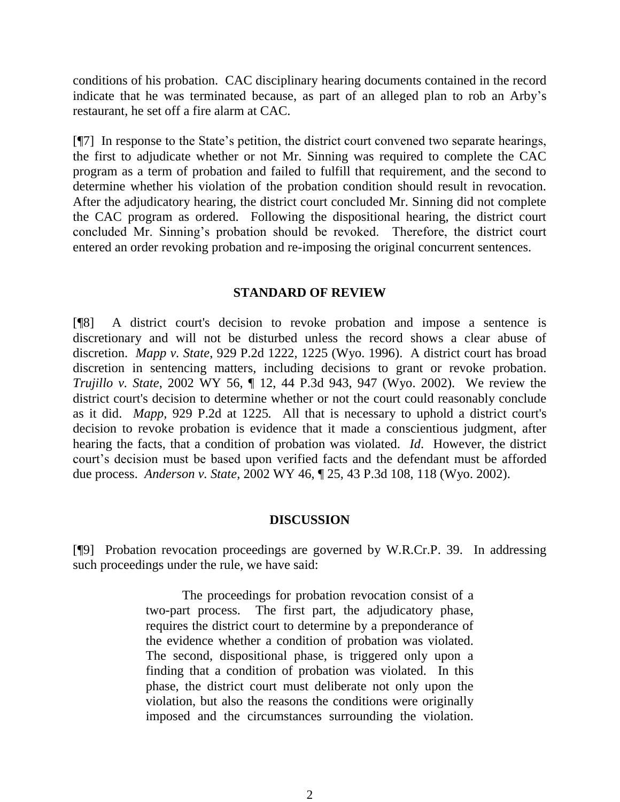conditions of his probation. CAC disciplinary hearing documents contained in the record indicate that he was terminated because, as part of an alleged plan to rob an Arby's restaurant, he set off a fire alarm at CAC.

[¶7] In response to the State's petition, the district court convened two separate hearings, the first to adjudicate whether or not Mr. Sinning was required to complete the CAC program as a term of probation and failed to fulfill that requirement, and the second to determine whether his violation of the probation condition should result in revocation. After the adjudicatory hearing, the district court concluded Mr. Sinning did not complete the CAC program as ordered. Following the dispositional hearing, the district court concluded Mr. Sinning's probation should be revoked. Therefore, the district court entered an order revoking probation and re-imposing the original concurrent sentences.

#### **STANDARD OF REVIEW**

[¶8] A district court's decision to revoke probation and impose a sentence is discretionary and will not be disturbed unless the record shows a clear abuse of discretion. *Mapp v. State*, 929 P.2d 1222, 1225 (Wyo. 1996). A district court has broad discretion in sentencing matters, including decisions to grant or revoke probation. *Trujillo v. State*, 2002 WY 56, ¶ 12, 44 P.3d 943, 947 (Wyo. 2002). We review the district court's decision to determine whether or not the court could reasonably conclude as it did. *Mapp,* 929 P.2d at 1225*.* All that is necessary to uphold a district court's decision to revoke probation is evidence that it made a conscientious judgment, after hearing the facts, that a condition of probation was violated. *Id*. However, the district court's decision must be based upon verified facts and the defendant must be afforded due process. *Anderson v. State*, 2002 WY 46, ¶ 25, 43 P.3d 108, 118 (Wyo. 2002).

#### **DISCUSSION**

[¶9] Probation revocation proceedings are governed by W.R.Cr.P. 39. In addressing such proceedings under the rule, we have said:

> The proceedings for probation revocation consist of a two-part process. The first part, the adjudicatory phase, requires the district court to determine by a preponderance of the evidence whether a condition of probation was violated. The second, dispositional phase, is triggered only upon a finding that a condition of probation was violated. In this phase, the district court must deliberate not only upon the violation, but also the reasons the conditions were originally imposed and the circumstances surrounding the violation.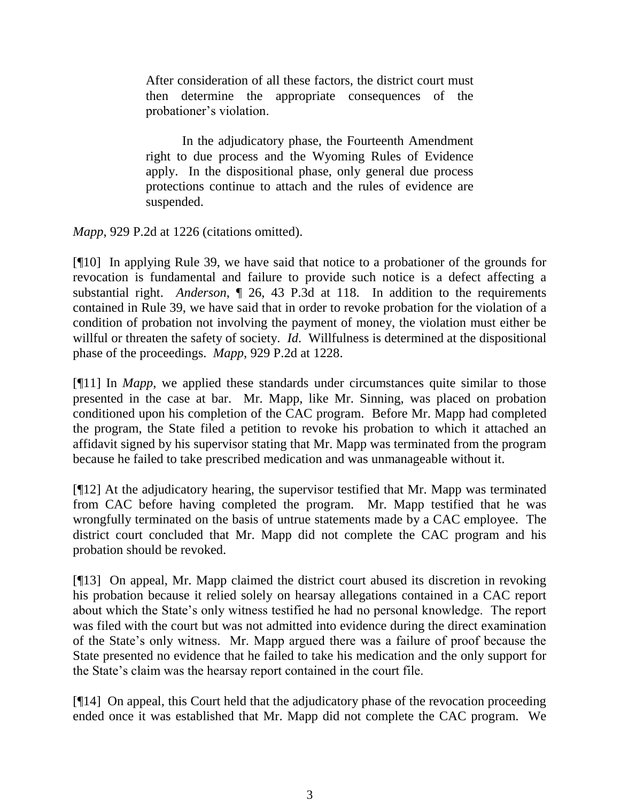After consideration of all these factors, the district court must then determine the appropriate consequences of the probationer's violation.

In the adjudicatory phase, the Fourteenth Amendment right to due process and the Wyoming Rules of Evidence apply. In the dispositional phase, only general due process protections continue to attach and the rules of evidence are suspended.

*Mapp*, 929 P.2d at 1226 (citations omitted).

[¶10] In applying Rule 39, we have said that notice to a probationer of the grounds for revocation is fundamental and failure to provide such notice is a defect affecting a substantial right. *Anderson*, ¶ 26, 43 P.3d at 118. In addition to the requirements contained in Rule 39, we have said that in order to revoke probation for the violation of a condition of probation not involving the payment of money, the violation must either be willful or threaten the safety of society. *Id*. Willfulness is determined at the dispositional phase of the proceedings. *Mapp*, 929 P.2d at 1228.

[¶11] In *Mapp*, we applied these standards under circumstances quite similar to those presented in the case at bar. Mr. Mapp, like Mr. Sinning, was placed on probation conditioned upon his completion of the CAC program. Before Mr. Mapp had completed the program, the State filed a petition to revoke his probation to which it attached an affidavit signed by his supervisor stating that Mr. Mapp was terminated from the program because he failed to take prescribed medication and was unmanageable without it.

[¶12] At the adjudicatory hearing, the supervisor testified that Mr. Mapp was terminated from CAC before having completed the program. Mr. Mapp testified that he was wrongfully terminated on the basis of untrue statements made by a CAC employee. The district court concluded that Mr. Mapp did not complete the CAC program and his probation should be revoked.

[¶13] On appeal, Mr. Mapp claimed the district court abused its discretion in revoking his probation because it relied solely on hearsay allegations contained in a CAC report about which the State's only witness testified he had no personal knowledge. The report was filed with the court but was not admitted into evidence during the direct examination of the State's only witness. Mr. Mapp argued there was a failure of proof because the State presented no evidence that he failed to take his medication and the only support for the State's claim was the hearsay report contained in the court file.

[¶14] On appeal, this Court held that the adjudicatory phase of the revocation proceeding ended once it was established that Mr. Mapp did not complete the CAC program. We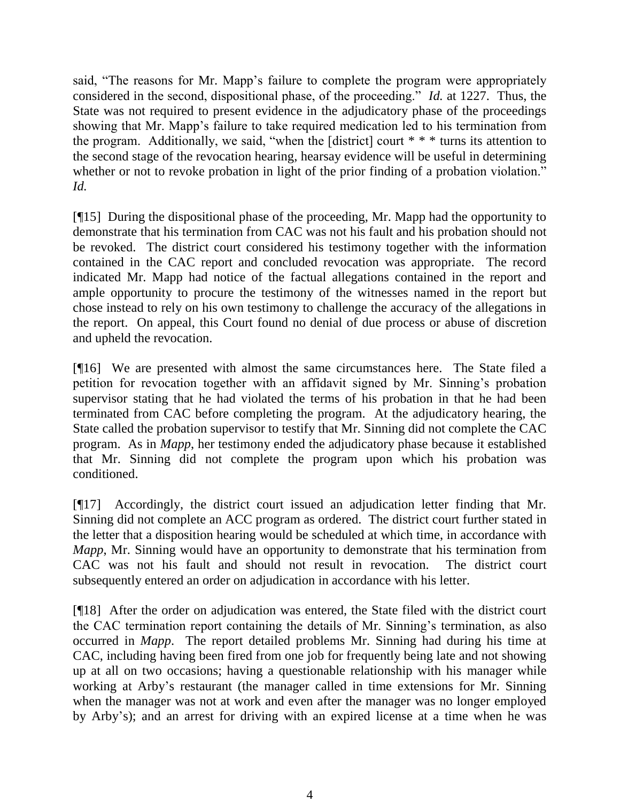said, "The reasons for Mr. Mapp's failure to complete the program were appropriately considered in the second, dispositional phase, of the proceeding." *Id.* at 1227. Thus, the State was not required to present evidence in the adjudicatory phase of the proceedings showing that Mr. Mapp's failure to take required medication led to his termination from the program. Additionally, we said, "when the [district] court  $* * *$  turns its attention to the second stage of the revocation hearing, hearsay evidence will be useful in determining whether or not to revoke probation in light of the prior finding of a probation violation." *Id.*

[¶15] During the dispositional phase of the proceeding, Mr. Mapp had the opportunity to demonstrate that his termination from CAC was not his fault and his probation should not be revoked. The district court considered his testimony together with the information contained in the CAC report and concluded revocation was appropriate. The record indicated Mr. Mapp had notice of the factual allegations contained in the report and ample opportunity to procure the testimony of the witnesses named in the report but chose instead to rely on his own testimony to challenge the accuracy of the allegations in the report. On appeal, this Court found no denial of due process or abuse of discretion and upheld the revocation.

[¶16] We are presented with almost the same circumstances here. The State filed a petition for revocation together with an affidavit signed by Mr. Sinning's probation supervisor stating that he had violated the terms of his probation in that he had been terminated from CAC before completing the program. At the adjudicatory hearing, the State called the probation supervisor to testify that Mr. Sinning did not complete the CAC program. As in *Mapp*, her testimony ended the adjudicatory phase because it established that Mr. Sinning did not complete the program upon which his probation was conditioned.

[¶17] Accordingly, the district court issued an adjudication letter finding that Mr. Sinning did not complete an ACC program as ordered. The district court further stated in the letter that a disposition hearing would be scheduled at which time, in accordance with *Mapp*, Mr. Sinning would have an opportunity to demonstrate that his termination from CAC was not his fault and should not result in revocation. The district court subsequently entered an order on adjudication in accordance with his letter.

[¶18] After the order on adjudication was entered, the State filed with the district court the CAC termination report containing the details of Mr. Sinning's termination, as also occurred in *Mapp*. The report detailed problems Mr. Sinning had during his time at CAC, including having been fired from one job for frequently being late and not showing up at all on two occasions; having a questionable relationship with his manager while working at Arby's restaurant (the manager called in time extensions for Mr. Sinning when the manager was not at work and even after the manager was no longer employed by Arby's); and an arrest for driving with an expired license at a time when he was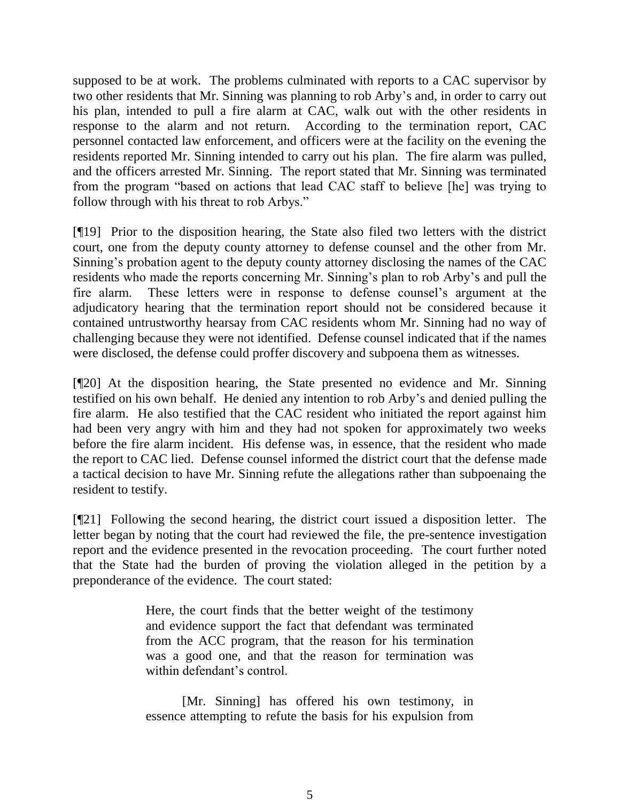supposed to be at work. The problems culminated with reports to a CAC supervisor by two other residents that Mr. Sinning was planning to rob Arby's and, in order to carry out his plan, intended to pull a fire alarm at CAC, walk out with the other residents in response to the alarm and not return. According to the termination report, CAC personnel contacted law enforcement, and officers were at the facility on the evening the residents reported Mr. Sinning intended to carry out his plan. The fire alarm was pulled, and the officers arrested Mr. Sinning. The report stated that Mr. Sinning was terminated from the program "based on actions that lead CAC staff to believe [he] was trying to follow through with his threat to rob Arbys."

[¶19] Prior to the disposition hearing, the State also filed two letters with the district court, one from the deputy county attorney to defense counsel and the other from Mr. Sinning's probation agent to the deputy county attorney disclosing the names of the CAC residents who made the reports concerning Mr. Sinning's plan to rob Arby's and pull the fire alarm. These letters were in response to defense counsel's argument at the adjudicatory hearing that the termination report should not be considered because it contained untrustworthy hearsay from CAC residents whom Mr. Sinning had no way of challenging because they were not identified. Defense counsel indicated that if the names were disclosed, the defense could proffer discovery and subpoena them as witnesses.

[¶20] At the disposition hearing, the State presented no evidence and Mr. Sinning testified on his own behalf. He denied any intention to rob Arby's and denied pulling the fire alarm. He also testified that the CAC resident who initiated the report against him had been very angry with him and they had not spoken for approximately two weeks before the fire alarm incident. His defense was, in essence, that the resident who made the report to CAC lied. Defense counsel informed the district court that the defense made a tactical decision to have Mr. Sinning refute the allegations rather than subpoenaing the resident to testify.

[¶21] Following the second hearing, the district court issued a disposition letter. The letter began by noting that the court had reviewed the file, the pre-sentence investigation report and the evidence presented in the revocation proceeding. The court further noted that the State had the burden of proving the violation alleged in the petition by a preponderance of the evidence. The court stated:

> Here, the court finds that the better weight of the testimony and evidence support the fact that defendant was terminated from the ACC program, that the reason for his termination was a good one, and that the reason for termination was within defendant's control.

> [Mr. Sinning] has offered his own testimony, in essence attempting to refute the basis for his expulsion from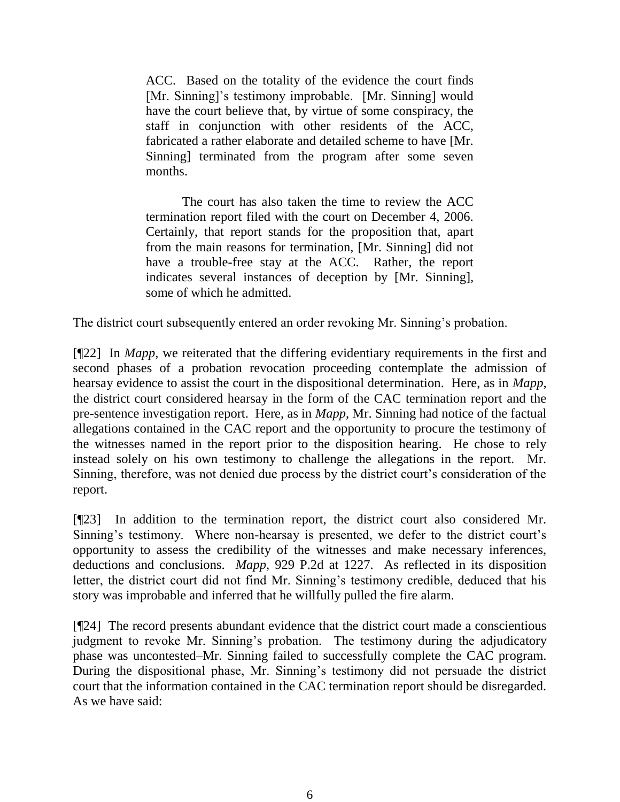ACC. Based on the totality of the evidence the court finds [Mr. Sinning]'s testimony improbable. [Mr. Sinning] would have the court believe that, by virtue of some conspiracy, the staff in conjunction with other residents of the ACC, fabricated a rather elaborate and detailed scheme to have [Mr. Sinning] terminated from the program after some seven months.

The court has also taken the time to review the ACC termination report filed with the court on December 4, 2006. Certainly, that report stands for the proposition that, apart from the main reasons for termination, [Mr. Sinning] did not have a trouble-free stay at the ACC. Rather, the report indicates several instances of deception by [Mr. Sinning], some of which he admitted.

The district court subsequently entered an order revoking Mr. Sinning's probation.

[¶22] In *Mapp,* we reiterated that the differing evidentiary requirements in the first and second phases of a probation revocation proceeding contemplate the admission of hearsay evidence to assist the court in the dispositional determination. Here, as in *Mapp*, the district court considered hearsay in the form of the CAC termination report and the pre-sentence investigation report. Here, as in *Mapp*, Mr. Sinning had notice of the factual allegations contained in the CAC report and the opportunity to procure the testimony of the witnesses named in the report prior to the disposition hearing. He chose to rely instead solely on his own testimony to challenge the allegations in the report. Mr. Sinning, therefore, was not denied due process by the district court's consideration of the report.

[¶23] In addition to the termination report, the district court also considered Mr. Sinning's testimony. Where non-hearsay is presented, we defer to the district court's opportunity to assess the credibility of the witnesses and make necessary inferences, deductions and conclusions. *Mapp*, 929 P.2d at 1227. As reflected in its disposition letter, the district court did not find Mr. Sinning's testimony credible, deduced that his story was improbable and inferred that he willfully pulled the fire alarm.

[¶24] The record presents abundant evidence that the district court made a conscientious judgment to revoke Mr. Sinning's probation. The testimony during the adjudicatory phase was uncontested–Mr. Sinning failed to successfully complete the CAC program. During the dispositional phase, Mr. Sinning's testimony did not persuade the district court that the information contained in the CAC termination report should be disregarded. As we have said: